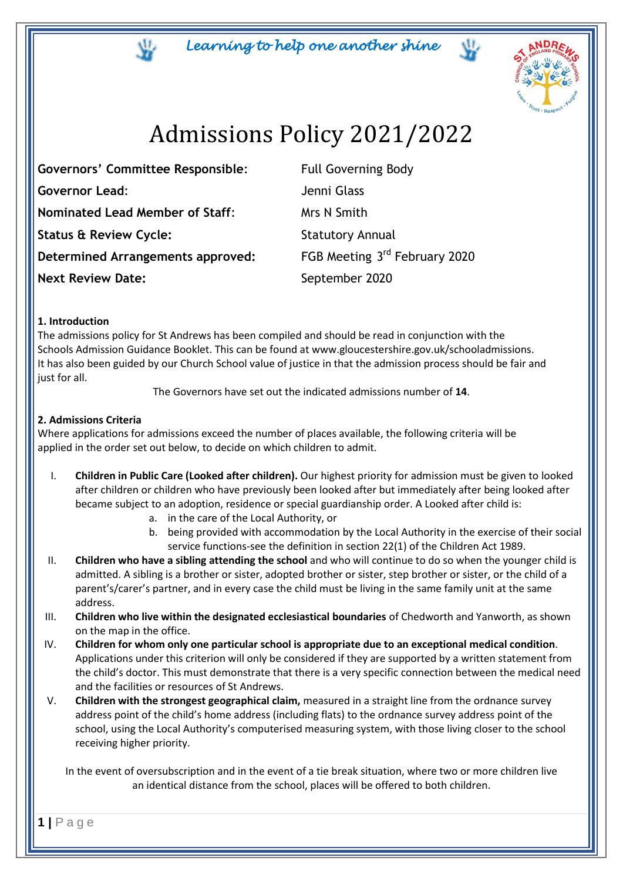*Learning to help one another shine* 



# Admissions Policy 2021/2022

Governors' Committee Responsible: Full Governing Body **Governor Lead**: Jenni Glass **Nominated Lead Member of Staff:** Mrs N Smith **Status & Review Cycle:** Statutory Annual **Determined Arrangements approved: Next Review Date:** September 2020

FGB Meeting 3rd February 2020

# **1. Introduction**

The admissions policy for St Andrews has been compiled and should be read in conjunction with the Schools Admission Guidance Booklet. This can be found at www.gloucestershire.gov.uk/schooladmissions. It has also been guided by our Church School value of justice in that the admission process should be fair and just for all.

The Governors have set out the indicated admissions number of **14**.

# **2. Admissions Criteria**

Where applications for admissions exceed the number of places available, the following criteria will be applied in the order set out below, to decide on which children to admit.

- I. **Children in Public Care (Looked after children).** Our highest priority for admission must be given to looked after children or children who have previously been looked after but immediately after being looked after became subject to an adoption, residence or special guardianship order. A Looked after child is:
	- a. in the care of the Local Authority, or
	- b. being provided with accommodation by the Local Authority in the exercise of their social service functions-see the definition in section 22(1) of the Children Act 1989.
- II. **Children who have a sibling attending the school** and who will continue to do so when the younger child is admitted. A sibling is a brother or sister, adopted brother or sister, step brother or sister, or the child of a parent's/carer's partner, and in every case the child must be living in the same family unit at the same address.
- III. **Children who live within the designated ecclesiastical boundaries** of Chedworth and Yanworth, as shown on the map in the office.
- IV. **Children for whom only one particular school is appropriate due to an exceptional medical condition**. Applications under this criterion will only be considered if they are supported by a written statement from the child's doctor. This must demonstrate that there is a very specific connection between the medical need and the facilities or resources of St Andrews.
- V. **Children with the strongest geographical claim,** measured in a straight line from the ordnance survey address point of the child's home address (including flats) to the ordnance survey address point of the school, using the Local Authority's computerised measuring system, with those living closer to the school receiving higher priority.

In the event of oversubscription and in the event of a tie break situation, where two or more children live an identical distance from the school, places will be offered to both children.